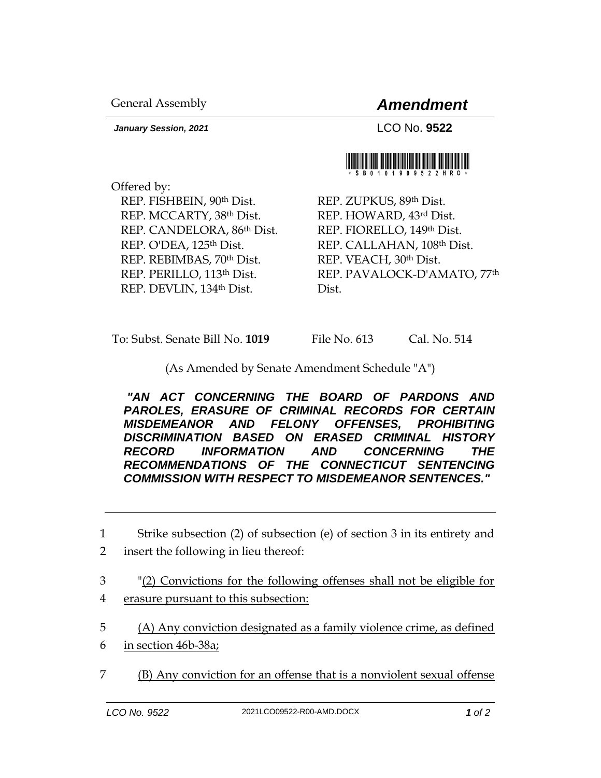*January Session, 2021* LCO No. **9522**

General Assembly *Amendment*

Offered by: REP. FISHBEIN, 90th Dist. REP. MCCARTY, 38th Dist. REP. CANDELORA, 86th Dist. REP. O'DEA, 125th Dist. REP. REBIMBAS, 70th Dist. REP. PERILLO, 113th Dist. REP. DEVLIN, 134th Dist.

REP. ZUPKUS, 89th Dist. REP. HOWARD, 43rd Dist. REP. FIORELLO, 149th Dist. REP. CALLAHAN, 108th Dist. REP. VEACH, 30th Dist. REP. PAVALOCK-D'AMATO, 77th Dist.

To: Subst. Senate Bill No. **1019** File No. 613 Cal. No. 514

(As Amended by Senate Amendment Schedule "A")

*"AN ACT CONCERNING THE BOARD OF PARDONS AND PAROLES, ERASURE OF CRIMINAL RECORDS FOR CERTAIN MISDEMEANOR AND FELONY OFFENSES, PROHIBITING DISCRIMINATION BASED ON ERASED CRIMINAL HISTORY RECORD INFORMATION AND CONCERNING THE RECOMMENDATIONS OF THE CONNECTICUT SENTENCING COMMISSION WITH RESPECT TO MISDEMEANOR SENTENCES."* 

1 Strike subsection (2) of subsection (e) of section 3 in its entirety and 2 insert the following in lieu thereof:

3 "(2) Convictions for the following offenses shall not be eligible for 4 erasure pursuant to this subsection:

5 (A) Any conviction designated as a family violence crime, as defined 6 in section 46b-38a;

7 (B) Any conviction for an offense that is a nonviolent sexual offense